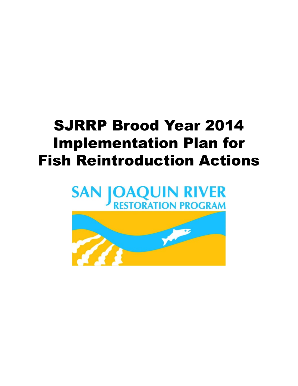# SJRRP Brood Year 2014 Implementation Plan for Fish Reintroduction Actions

## **OAQUIN RIVER**<br>RESTORATION PROGRAM **SAN**

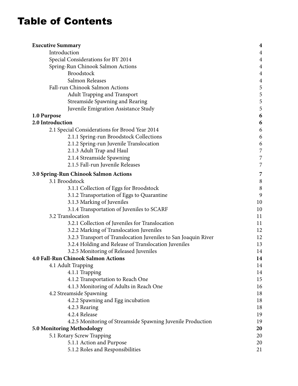## Table of Contents

| <b>Executive Summary</b>                                        | $\boldsymbol{4}$ |
|-----------------------------------------------------------------|------------------|
| Introduction                                                    | $\overline{4}$   |
| Special Considerations for BY 2014                              | $\overline{4}$   |
| Spring-Run Chinook Salmon Actions                               | $\overline{4}$   |
| <b>Broodstock</b>                                               | $\overline{4}$   |
| Salmon Releases                                                 | $\overline{4}$   |
| Fall-run Chinook Salmon Actions                                 | 5                |
| <b>Adult Trapping and Transport</b>                             | 5                |
| <b>Streamside Spawning and Rearing</b>                          | 5                |
| Juvenile Emigration Assistance Study                            | 5                |
| 1.0 Purpose                                                     | 6                |
| 2.0 Introduction                                                | 6                |
| 2.1 Special Considerations for Brood Year 2014                  | 6                |
| 2.1.1 Spring-run Broodstock Collections                         | 6                |
| 2.1.2 Spring-run Juvenile Translocation                         | 6                |
| 2.1.3 Adult Trap and Haul                                       | $\overline{7}$   |
| 2.1.4 Streamside Spawning                                       | 7                |
| 2.1.5 Fall-run Juvenile Releases                                | 7                |
| 3.0 Spring-Run Chinook Salmon Actions                           | 7                |
| 3.1 Broodstock                                                  | $\, 8$           |
| 3.1.1 Collection of Eggs for Broodstock                         | 8                |
| 3.1.2 Transportation of Eggs to Quarantine                      | 9                |
| 3.1.3 Marking of Juveniles                                      | 10               |
| 3.1.4 Transportation of Juveniles to SCARF                      | 10               |
| 3.2 Translocation                                               | 11               |
| 3.2.1 Collection of Juveniles for Translocation                 | 11               |
| 3.2.2 Marking of Translocation Juveniles                        | 12               |
| 3.2.3 Transport of Translocation Juveniles to San Joaquin River | 12               |
| 3.2.4 Holding and Release of Translocation Juveniles            | 13               |
| 3.2.5 Monitoring of Released Juveniles                          | 14               |
| <b>4.0 Fall-Run Chinook Salmon Actions</b>                      | 14               |
| 4.1 Adult Trapping                                              | 14               |
| 4.1.1 Trapping                                                  | 14               |
| 4.1.2 Transportation to Reach One                               | 15               |
| 4.1.3 Monitoring of Adults in Reach One                         | 16               |
| 4.2 Streamside Spawning                                         | 18               |
| 4.2.2 Spawning and Egg incubation                               | 18               |
| 4.2.3 Rearing                                                   | 18               |
| 4.2.4 Release                                                   | 19               |
| 4.2.5 Monitoring of Streamside Spawning Juvenile Production     | 19               |
| <b>5.0 Monitoring Methodology</b>                               | 20               |
| 5.1 Rotary Screw Trapping                                       | 20               |
| 5.1.1 Action and Purpose                                        | 20               |
| 5.1.2 Roles and Responsibilities                                | 21               |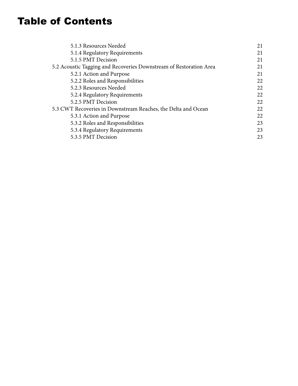## Table of Contents

| 21 |
|----|
| 21 |
| 21 |
| 21 |
| 21 |
| 22 |
| 22 |
| 22 |
| 22 |
| 22 |
| 22 |
| 23 |
| 23 |
| 23 |
|    |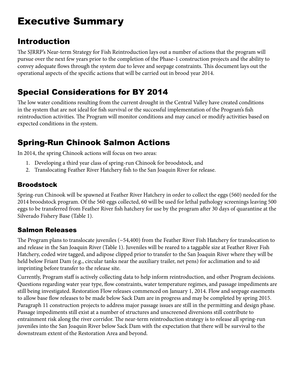## <span id="page-3-0"></span>Executive Summary

## Introduction

The SJRRP's Near-term Strategy for Fish Reintroduction lays out a number of actions that the program will pursue over the next few years prior to the completion of the Phase-1 construction projects and the ability to convey adequate flows through the system due to levee and seepage constraints. This document lays out the operational aspects of the specific actions that will be carried out in brood year 2014.

## Special Considerations for BY 2014

The low water conditions resulting from the current drought in the Central Valley have created conditions in the system that are not ideal for fish survival or the successful implementation of the Program's fish reintroduction activities. The Program will monitor conditions and may cancel or modify activities based on expected conditions in the system.

## Spring-Run Chinook Salmon Actions

In 2014, the spring Chinook actions will focus on two areas:

- 1. Developing a third year class of spring-run Chinook for broodstock, and
- 2. Translocating Feather River Hatchery fish to the San Joaquin River for release.

## Broodstock

Spring-run Chinook will be spawned at Feather River Hatchery in order to collect the eggs (560) needed for the 2014 broodstock program. Of the 560 eggs collected, 60 will be used for lethal pathology screenings leaving 500 eggs to be transferred from Feather River fish hatchery for use by the program after 30 days of quarantine at the Silverado Fishery Base (Table 1).

### Salmon Releases

The Program plans to translocate juveniles (~54,400) from the Feather River Fish Hatchery for translocation to and release in the San Joaquin River (Table 1). Juveniles will be reared to a taggable size at Feather River Fish Hatchery, coded wire tagged, and adipose clipped prior to transfer to the San Joaquin River where they will be held below Friant Dam (e.g., circular tanks near the auxiliary trailer, net pens) for acclimation and to aid imprinting before transfer to the release site.

Currently, Program staff is actively collecting data to help inform reintroduction, and other Program decisions. Questions regarding water year type, flow constraints, water temperature regimes, and passage impediments are still being investigated. Restoration Flow releases commenced on January 1, 2014. Flow and seepage easements to allow base flow releases to be made below Sack Dam are in progress and may be completed by spring 2015. Paragraph 11 construction projects to address major passage issues are still in the permitting and design phase. Passage impediments still exist at a number of structures and unscreened diversions still contribute to entrainment risk along the river corridor. The near-term reintroduction strategy is to release all spring-run juveniles into the San Joaquin River below Sack Dam with the expectation that there will be survival to the downstream extent of the Restoration Area and beyond.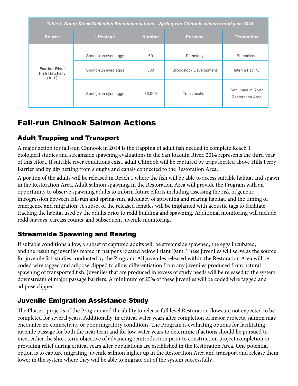<span id="page-4-0"></span>

| Table 1. Donor Stock Collection Recommendations - Spring run Chinook salmon brood year 2014 |                                              |               |                                            |                                              |  |
|---------------------------------------------------------------------------------------------|----------------------------------------------|---------------|--------------------------------------------|----------------------------------------------|--|
| <b>Source</b>                                                                               | Lifestage                                    | <b>Number</b> | <b>Purpose</b>                             | <b>Disposition</b>                           |  |
| <b>Feather River</b><br><b>Fish Hatchery</b><br>(ALL)                                       | Spring-run eyed eggs<br>Spring-run eyed eggs | 60<br>500     | Pathology<br><b>Broodstock Development</b> | Euthanized<br>Interim Facility               |  |
|                                                                                             | Spring-run eyed eggs                         | 80,000        | Translocation                              | San Joaquin River<br><b>Restoration Area</b> |  |

## Fall-run Chinook Salmon Actions

## Adult Trapping and Transport

A major action for fall-run Chinook in 2014 is the trapping of adult fish needed to complete Reach 1 biological studies and streamside spawning evaluations in the San Joaquin River. 2014 represents the third year of this effort. If suitable river conditions exist, adult Chinook will be captured by traps located above Hills Ferry Barrier and by dip netting from sloughs and canals connected to the Restoration Area.

A portion of the adults will be released in Reach 1 where the fish will be able to access suitable habitat and spawn in the Restoration Area. Adult salmon spawning in the Restoration Area will provide the Program with an opportunity to observe spawning adults to inform future efforts including assessing the risk of genetic introgression between fall-run and spring-run, adequacy of spawning and rearing habitat, and the timing of emergence and migration. A subset of the released females will be implanted with acoustic tags to facilitate tracking the habitat used by the adults prior to redd building and spawning. Additional monitoring will include redd surveys, carcass counts, and subsequent juvenile monitoring.

## Streamside Spawning and Rearing

If suitable conditions allow, a subset of captured adults will be streamside spawned, the eggs incubated, and the resulting juveniles reared in net pens located below Friant Dam. These juveniles will serve as the source for juvenile fish studies conducted by the Program. All juveniles released within the Restoration Area will be coded wire tagged and adipose clipped to allow differentiation from any juveniles produced from natural spawning of transported fish. Juveniles that are produced in excess of study needs will be released to the system downstream of major passage barriers. A minimum of 25% of these juveniles will be coded wire tagged and adipose clipped.

## Juvenile Emigration Assistance Study

The Phase 1 projects of the Program and the ability to release full level Restoration flows are not expected to be completed for several years. Additionally, in critical water years after completion of major projects, salmon may encounter no connectivity or poor migratory conditions. The Program is evaluating options for facilitating juvenile passage for both the near term and for low water years to determine if actions should be pursued to meet either the short term objective of advancing reintroduction prior to construction project completion or providing relief during critical years after populations are established in the Restoration Area. One potential option is to capture migrating juvenile salmon higher up in the Restoration Area and transport and release them lower in the system where they will be able to migrate out of the system successfully.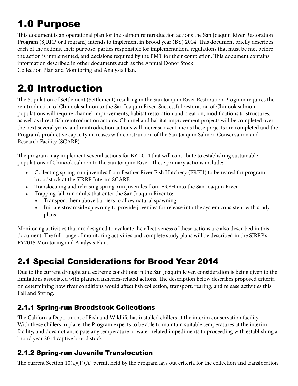# <span id="page-5-0"></span>1.0 Purpose

This document is an operational plan for the salmon reintroduction actions the San Joaquin River Restoration Program (SJRRP or Program) intends to implement in Brood year (BY) 2014. This document briefly describes each of the actions, their purpose, parties responsible for implementation, regulations that must be met before the action is implemented, and decisions required by the PMT for their completion. This document contains information described in other documents such as the Annual Donor Stock Collection Plan and Monitoring and Analysis Plan.

## 2.0 Introduction

The Stipulation of Settlement (Settlement) resulting in the San Joaquin River Restoration Program requires the reintroduction of Chinook salmon to the San Joaquin River. Successful restoration of Chinook salmon populations will require channel improvements, habitat restoration and creation, modifications to structures, as well as direct fish reintroduction actions. Channel and habitat improvement projects will be completed over the next several years, and reintroduction actions will increase over time as these projects are completed and the Program's productive capacity increases with construction of the San Joaquin Salmon Conservation and Research Facility (SCARF).

The program may implement several actions for BY 2014 that will contribute to establishing sustainable populations of Chinook salmon to the San Joaquin River. These primary actions include:

- Collecting spring-run juveniles from Feather River Fish Hatchery (FRFH) to be reared for program broodstock at the SJRRP Interim SCARF.
- Translocating and releasing spring-run juveniles from FRFH into the San Joaquin River.
- Trapping fall-run adults that enter the San Joaquin River to:
	- Transport them above barriers to allow natural spawning
	- Initiate streamside spawning to provide juveniles for release into the system consistent with study plans.

Monitoring activities that are designed to evaluate the effectiveness of these actions are also described in this document. The full range of monitoring activities and complete study plans will be described in the SJRRP's FY2015 Monitoring and Analysis Plan.

## 2.1 Special Considerations for Brood Year 2014

Due to the current drought and extreme conditions in the San Joaquin River, consideration is being given to the limitations associated with planned fisheries-related actions. The description below describes proposed criteria on determining how river conditions would affect fish collection, transport, rearing, and release activities this Fall and Spring.

## 2.1.1 Spring-run Broodstock Collections

The California Department of Fish and Wildlife has installed chillers at the interim conservation facility. With these chillers in place, the Program expects to be able to maintain suitable temperatures at the interim facility, and does not anticipate any temperature or water-related impediments to proceeding with establishing a brood year 2014 captive brood stock.

## 2.1.2 Spring-run Juvenile Translocation

The current Section  $10(a)(1)(A)$  permit held by the program lays out criteria for the collection and translocation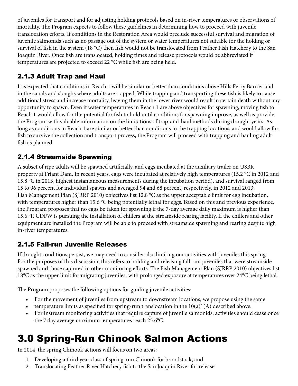<span id="page-6-0"></span>of juveniles for transport and for adjusting holding protocols based on in-river temperatures or observations of mortality. The Program expects to follow these guidelines in determining how to proceed with juvenile translocation efforts. If conditions in the Restoration Area would preclude successful survival and migration of juvenile salmonids such as no passage out of the system or water temperatures not suitable for the holding or survival of fish in the system (18 °C) then fish would not be translocated from Feather Fish Hatchery to the San Joaquin River. Once fish are translocated, holding times and release protocols would be abbreviated if temperatures are projected to exceed 22 °C while fish are being held.

## 2.1.3 Adult Trap and Haul

It is expected that conditions in Reach 1 will be similar or better than conditions above Hills Ferry Barrier and in the canals and sloughs where adults are trapped. While trapping and transporting these fish is likely to cause additional stress and increase mortality, leaving them in the lower river would result in certain death without any opportunity to spawn. Even if water temperatures in Reach 1 are above objectives for spawning, moving fish to Reach 1 would allow for the potential for fish to hold until conditions for spawning improve, as well as provide the Program with valuable information on the limitations of trap-and-haul methods during drought years. As long as conditions in Reach 1 are similar or better than conditions in the trapping locations, and would allow for fish to survive the collection and transport process, the Program will proceed with trapping and hauling adult fish as planned.

## 2.1.4 Streamside Spawning

A subset of ripe adults will be spawned artificially, and eggs incubated at the auxiliary trailer on USBR property at Friant Dam. In recent years, eggs were incubated at relatively high temperatures (15.2 °C in 2012 and 15.8 °C in 2013, highest instantaneous measurements during the incubation period), and survival ranged from 15 to 96 percent for individual spawns and averaged 94 and 68 percent, respectively, in 2012 and 2013. Fish Management Plan (SJRRP 2010) objectives list 12.8 °C as the upper acceptable limit for egg incubation, with temperatures higher than 15.6 °C being potentially lethal for eggs. Based on this and previous experience, the Program proposes that no eggs be taken for spawning if the 7-day average daily maximum is higher than 15.6 °F. CDFW is pursuing the installation of chillers at the streamside rearing facility. If the chillers and other equipment are installed the Program will be able to proceed with streamside spawning and rearing despite high in-river temperatures.

## 2.1.5 Fall-run Juvenile Releases

If drought conditions persist, we may need to consider also limiting our activities with juveniles this spring. For the purposes of this discussion, this refers to holding and releasing fall-run juveniles that were streamside spawned and those captured in other monitoring efforts. The Fish Management Plan (SJRRP 2010) objectives list 18°C as the upper limit for migrating juveniles, with prolonged exposure at temperatures over 24°C being lethal.

The Program proposes the following options for guiding juvenile activities:

- For the movement of juveniles from upstream to downstream locations, we propose using the same
- temperature limits as specified for spring-run translocation in the  $10(a)1(A)$  described above.
- For instream monitoring activities that require capture of juvenile salmonids, activities should cease once the 7 day average maximum temperatures reach 25.6°C.

## 3.0 Spring-Run Chinook Salmon Actions

In 2014, the spring Chinook actions will focus on two areas:

- 1. Developing a third year class of spring-run Chinook for broodstock, and
- 2. Translocating Feather River Hatchery fish to the San Joaquin River for release.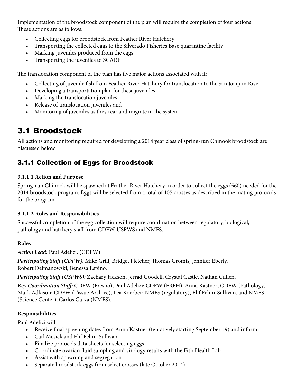<span id="page-7-0"></span>Implementation of the broodstock component of the plan will require the completion of four actions. These actions are as follows:

- Collecting eggs for broodstock from Feather River Hatchery
- Transporting the collected eggs to the Silverado Fisheries Base quarantine facility
- Marking juveniles produced from the eggs
- Transporting the juveniles to SCARF

The translocation component of the plan has five major actions associated with it:

- Collecting of juvenile fish from Feather River Hatchery for translocation to the San Joaquin River
- Developing a transportation plan for these juveniles
- Marking the translocation juveniles
- Release of translocation juveniles and
- Monitoring of juveniles as they rear and migrate in the system

## 3.1 Broodstock

All actions and monitoring required for developing a 2014 year class of spring-run Chinook broodstock are discussed below.

## 3.1.1 Collection of Eggs for Broodstock

#### **3.1.1.1 Action and Purpose**

Spring-run Chinook will be spawned at Feather River Hatchery in order to collect the eggs (560) needed for the 2014 broodstock program. Eggs will be selected from a total of 105 crosses as described in the mating protocols for the program.

#### **3.1.1.2 Roles and Responsibilities**

Successful completion of the egg collection will require coordination between regulatory, biological, pathology and hatchery staff from CDFW, USFWS and NMFS.

#### **Roles**

*Action Lead:* Paul Adelizi. (CDFW)

*Participating Staff (CDFW):* Mike Grill, Bridget Fletcher, Thomas Gromis, Jennifer Eberly, Robert Delmanowski, Benessa Espino.

*Participating Staff (USFWS):* Zachary Jackson, Jerrad Goodell, Crystal Castle, Nathan Cullen.

*Key Coordination Staff:* CDFW (Fresno), Paul Adelizi; CDFW (FRFH), Anna Kastner; CDFW (Pathology) Mark Adkison; CDFW (Tissue Archive), Lea Koerber; NMFS (regulatory), Elif Fehm-Sullivan, and NMFS (Science Center), Carlos Garza (NMFS).

#### **Responsibilities**

Paul Adelizi will:

- Receive final spawning dates from Anna Kastner (tentatively starting September 19) and inform
- Carl Mesick and Elif Fehm-Sullivan
- Finalize protocols data sheets for selecting eggs
- Coordinate ovarian fluid sampling and virology results with the Fish Health Lab
- Assist with spawning and segregation
- Separate broodstock eggs from select crosses (late October 2014)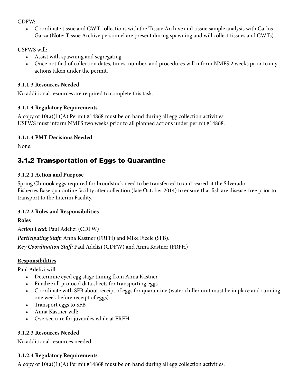<span id="page-8-0"></span>CDFW:

• Coordinate tissue and CWT collections with the Tissue Archive and tissue sample analysis with Carlos Garza (Note: Tissue Archive personnel are present during spawning and will collect tissues and CWTs).

USFWS will:

- Assist with spawning and segregating
- Once notified of collection dates, times, number, and procedures will inform NMFS 2 weeks prior to any actions taken under the permit.

#### **3.1.1.3 Resources Needed**

No additional resources are required to complete this task.

#### **3.1.1.4 Regulatory Requirements**

A copy of  $10(a)(1)(A)$  Permit #14868 must be on hand during all egg collection activities. USFWS must inform NMFS two weeks prior to all planned actions under permit #14868.

#### **3.1.1.4 PMT Decisions Needed**

None.

## 3.1.2 Transportation of Eggs to Quarantine

#### **3.1.2.1 Action and Purpose**

Spring Chinook eggs required for broodstock need to be transferred to and reared at the Silverado Fisheries Base quarantine facility after collection (late October 2014) to ensure that fish are disease-free prior to transport to the Interim Facility.

#### **3.1.2.2 Roles and Responsibilities**

**Roles** 

*Action Lead:* Paul Adelizi (CDFW) *Participating Staff:* Anna Kastner (FRFH) and Mike Ficele (SFB). *Key Coordination Staff:* Paul Adelizi (CDFW) and Anna Kastner (FRFH)

#### **Responsibilities**

Paul Adelizi will:

- • Determine eyed egg stage timing from Anna Kastner
- Finalize all protocol data sheets for transporting eggs
- • Coordinate with SFB about receipt of eggs for quarantine (water chiller unit must be in place and running one week before receipt of eggs).
- Transport eggs to SFB
- • Anna Kastner will:
- Oversee care for juveniles while at FRFH

#### **3.1.2.3 Resources Needed**

No additional resources needed.

#### **3.1.2.4 Regulatory Requirements**

A copy of  $10(a)(1)(A)$  Permit #14868 must be on hand during all egg collection activities.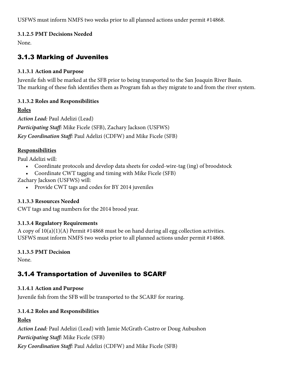<span id="page-9-0"></span>USFWS must inform NMFS two weeks prior to all planned actions under permit #14868.

#### **3.1.2.5 PMT Decisions Needed**

None.

### 3.1.3 Marking of Juveniles

#### **3.1.3.1 Action and Purpose**

Juvenile fish will be marked at the SFB prior to being transported to the San Joaquin River Basin. The marking of these fish identifies them as Program fish as they migrate to and from the river system.

#### **3.1.3.2 Roles and Responsibilities**

**Roles**  *Action Lead:* Paul Adelizi (Lead) *Participating Staff:* Mike Ficele (SFB), Zachary Jackson (USFWS) *Key Coordination Staff:* Paul Adelizi (CDFW) and Mike Ficele (SFB)

#### **Responsibilities**

Paul Adelizi will:

- Coordinate protocols and develop data sheets for coded-wire-tag (ing) of broodstock
- Coordinate CWT tagging and timing with Mike Ficele (SFB)

Zachary Jackson (USFWS) will:

• Provide CWT tags and codes for BY 2014 juveniles

#### **3.1.3.3 Resources Needed**

CWT tags and tag numbers for the 2014 brood year.

#### **3.1.3.4 Regulatory Requirements**

A copy of 10(a)(1)(A) Permit #14868 must be on hand during all egg collection activities. USFWS must inform NMFS two weeks prior to all planned actions under permit #14868.

#### **3.1.3.5 PMT Decision**

None.

## 3.1.4 Transportation of Juveniles to SCARF

#### **3.1.4.1 Action and Purpose**

Juvenile fish from the SFB will be transported to the SCARF for rearing.

#### **3.1.4.2 Roles and Responsibilities**

#### **Roles**

*Action Lead:* Paul Adelizi (Lead) with Jamie McGrath-Castro or Doug Aubushon

*Participating Staff:* Mike Ficele (SFB)

*Key Coordination Staff:* Paul Adelizi (CDFW) and Mike Ficele (SFB)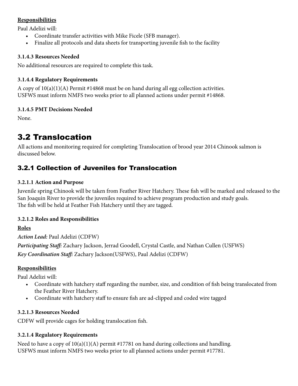#### <span id="page-10-0"></span>**Responsibilities**

Paul Adelizi will:

- Coordinate transfer activities with Mike Ficele (SFB manager).
- Finalize all protocols and data sheets for transporting juvenile fish to the facility

#### **3.1.4.3 Resources Needed**

No additional resources are required to complete this task.

#### **3.1.4.4 Regulatory Requirements**

A copy of 10(a)(1)(A) Permit #14868 must be on hand during all egg collection activities. USFWS must inform NMFS two weeks prior to all planned actions under permit #14868.

#### **3.1.4.5 PMT Decisions Needed**

None.

## 3.2 Translocation

All actions and monitoring required for completing Translocation of brood year 2014 Chinook salmon is discussed below.

## 3.2.1 Collection of Juveniles for Translocation

#### **3.2.1.1 Action and Purpose**

Juvenile spring Chinook will be taken from Feather River Hatchery. These fish will be marked and released to the San Joaquin River to provide the juveniles required to achieve program production and study goals. The fish will be held at Feather Fish Hatchery until they are tagged.

#### **3.2.1.2 Roles and Responsibilities**

#### **Roles**

*Action Lead:* Paul Adelizi (CDFW) *Participating Staff:* Zachary Jackson, Jerrad Goodell, Crystal Castle, and Nathan Cullen (USFWS) *Key Coordination Staff:* Zachary Jackson(USFWS), Paul Adelizi (CDFW)

#### **Responsibilities**

Paul Adelizi will:

- Coordinate with hatchery staff regarding the number, size, and condition of fish being translocated from the Feather River Hatchery.
- • Coordinate with hatchery staff to ensure fish are ad-clipped and coded wire tagged

#### **3.2.1.3 Resources Needed**

CDFW will provide cages for holding translocation fish.

#### **3.2.1.4 Regulatory Requirements**

Need to have a copy of  $10(a)(1)(A)$  permit #17781 on hand during collections and handling. USFWS must inform NMFS two weeks prior to all planned actions under permit #17781.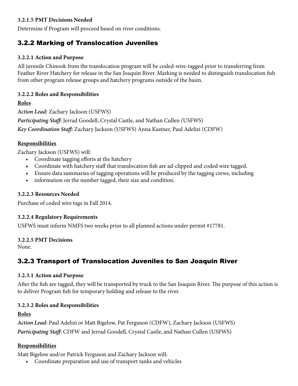#### <span id="page-11-0"></span>**3.2.1.5 PMT Decisions Needed**

Determine if Program will proceed based on river conditions.

### 3.2.2 Marking of Translocation Juveniles

#### **3.2.2.1 Action and Purpose**

All juvenile Chinook from the translocation program will be coded-wire-tagged prior to transferring from Feather River Hatchery for release in the San Joaquin River. Marking is needed to distinguish translocation fish from other program release groups and hatchery programs outside of the basin.

#### **3.2.2.2 Roles and Responsibilities**

#### **Roles**

*Action Lead:* Zachary Jackson (USFWS) *Participating Staff:* Jerrad Goodell, Crystal Castle, and Nathan Cullen (USFWS) *Key Coordination Staff:* Zachary Jackson (USFWS) Anna Kastner, Paul Adelizi (CDFW)

#### **Responsibilities**

Zachary Jackson (USFWS) will:

- Coordinate tagging efforts at the hatchery
- Coordinate with hatchery staff that translocation fish are ad-clipped and coded wire tagged.
- Ensure data summaries of tagging operations will be produced by the tagging crews, including
- information on the number tagged, their size and condition.

#### **3.2.2.3 Resources Needed**

Purchase of coded wire tags in Fall 2014.

#### **3.2.2.4 Regulatory Requirements**

USFWS must inform NMFS two weeks prior to all planned actions under permit #17781.

#### **3.2.2.5 PMT Decisions**

None.

## 3.2.3 Transport of Translocation Juveniles to San Joaquin River

#### **3.2.3.1 Action and Purpose**

After the fish are tagged, they will be transported by truck to the San Joaquin River. The purpose of this action is to deliver Program fish for temporary holding and release to the river.

#### **3.2.3.2 Roles and Responsibilities**

#### **Roles**

*Action Lead:* Paul Adelizi or Matt Bigelow, Pat Ferguson (CDFW), Zachary Jackson (USFWS) *Participating Staff:* CDFW and Jerrad Goodell, Crystal Castle, and Nathan Cullen (USFWS)

#### **Responsibilities**

Matt Bigelow and/or Patrick Ferguson and Zachary Jackson will:

• Coordinate preparation and use of transport tanks and vehicles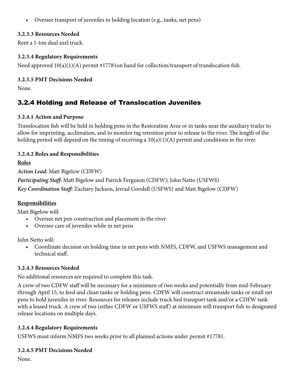<span id="page-12-0"></span>• Oversee transport of juveniles to holding location (e.g., tanks, net pens)

#### **3.2.3.3 Resources Needed**

Rent a 1-ton dual axel truck.

#### **3.2.3.4 Regulatory Requirements**

Need approved  $10(a)(1)(A)$  permit #17781on hand for collection/transport of translocation fish.

#### **3.2.3.5 PMT Decisions Needed**

None.

## 3.2.4 Holding and Release of Translocation Juveniles

#### **3.2.4.1 Action and Purpose**

Translocation fish will be held in holding pens in the Restoration Area or in tanks near the auxiliary trailer to allow for imprinting, acclimation, and to monitor tag retention prior to release to the river. The length of the holding period will depend on the timing of receiving a  $10(a)(1)(A)$  permit and conditions in the river.

#### **3.2.4.2 Roles and Responsibilities**

**Roles** 

*Action Lead:* Matt Bigelow (CDFW)

*Participating Staff:* Matt Bigelow and Patrick Ferguson (CDFW); John Netto (USFWS)

*Key Coordination Staff:* Zachary Jackson, Jerrad Goodell (USFWS) and Matt Bigelow (CDFW)

#### **Responsibilities**

Matt Bigelow will:

- Oversee net pen construction and placement in the river
- Oversee care of juveniles while in net pens

John Netto will:

• Coordinate decision on holding time in net pens with NMFS, CDFW, and USFWS management and technical staff.

#### **3.2.4.3 Resources Needed**

No additional resources are required to complete this task.

A crew of two CDFW staff will be necessary for a minimum of two weeks and potentially from mid-February through April 15, to feed and clean tanks or holding pens. CDFW will construct streamside tanks or intall net pens to hold juveniles in river. Resources for releases include truck bed transport tank and/or a CDFW tank with a leased truck. A crew of two (either CDFW or USFWS staff) at minimum will transport fish to designated release locations on multiple days.

#### **3.2.4.4 Regulatory Requirements**

USFWS must inform NMFS two weeks prior to all planned actions under permit #17781.

#### **3.2.4.5 PMT Decisions Needed**

None.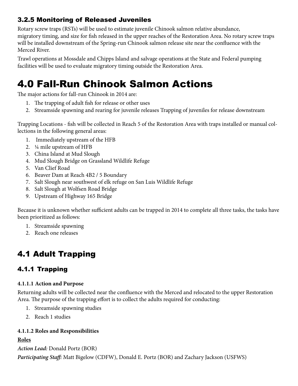## <span id="page-13-0"></span>3.2.5 Monitoring of Released Juveniles

Rotary screw traps (RSTs) will be used to estimate juvenile Chinook salmon relative abundance, migratory timing, and size for fish released in the upper reaches of the Restoration Area. No rotary screw traps will be installed downstream of the Spring-run Chinook salmon release site near the confluence with the Merced River.

Trawl operations at Mossdale and Chipps Island and salvage operations at the State and Federal pumping facilities will be used to evaluate migratory timing outside the Restoration Area.

## 4.0 Fall-Run Chinook Salmon Actions

The major actions for fall-run Chinook in 2014 are:

- 1. The trapping of adult fish for release or other uses
- 2. Streamside spawning and rearing for juvenile releases Trapping of juveniles for release downstream

Trapping Locations - fish will be collected in Reach 5 of the Restoration Area with traps installed or manual collections in the following general areas:

- 1. Immediately upstream of the HFB
- 2. ¼ mile upstream of HFB
- 3. China Island at Mud Slough
- 4. Mud Slough Bridge on Grassland Wildlife Refuge
- 5. Van Clief Road
- 6. Beaver Dam at Reach 4B2 / 5 Boundary
- 7. Salt Slough near southwest of elk refuge on San Luis Wildlife Refuge
- 8. Salt Slough at Wolfsen Road Bridge
- 9. Upstream of Highway 165 Bridge

Because it is unknown whether sufficient adults can be trapped in 2014 to complete all three tasks, the tasks have been prioritized as follows:

- 1. Streamside spawning
- 2. Reach one releases

## 4.1 Adult Trapping

## 4.1.1 Trapping

#### **4.1.1.1 Action and Purpose**

Returning adults will be collected near the confluence with the Merced and relocated to the upper Restoration Area. The purpose of the trapping effort is to collect the adults required for conducting:

- 1. Streamside spawning studies
- 2. Reach 1 studies

#### **4.1.1.2 Roles and Responsibilities**

#### **Roles**

*Action Lead:* Donald Portz (BOR)

*Participating Staff:* Matt Bigelow (CDFW), Donald E. Portz (BOR) and Zachary Jackson (USFWS)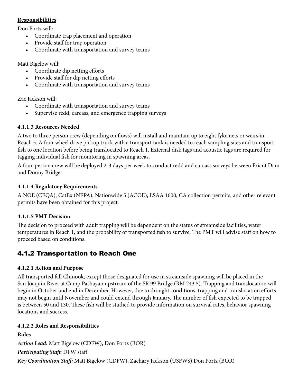#### <span id="page-14-0"></span>**Responsibilities**

Don Portz will:

- Coordinate trap placement and operation
- Provide staff for trap operation
- Coordinate with transportation and survey teams

Matt Bigelow will:

- Coordinate dip netting efforts
- Provide staff for dip netting efforts
- Coordinate with transportation and survey teams

Zac Jackson will:

- Coordinate with transportation and survey teams
- Supervise redd, carcass, and emergence trapping surveys

#### **4.1.1.3 Resources Needed**

A two to three person crew (depending on flows) will install and maintain up to eight fyke nets or weirs in Reach 5. A four wheel drive pickup truck with a transport tank is needed to reach sampling sites and transport fish to one location before being translocated to Reach 1. External disk tags and acoustic tags are required for tagging individual fish for monitoring in spawning areas.

A four-person crew will be deployed 2-3 days per week to conduct redd and carcass surveys between Friant Dam and Donny Bridge.

#### **4.1.1.4 Regulatory Requirements**

A NOE (CEQA), CatEx (NEPA), Nationwide 5 (ACOE), LSAA 1600, CA collection permits, and other relevant permits have been obtained for this project.

#### **4.1.1.5 PMT Decision**

The decision to proceed with adult trapping will be dependent on the status of streamside facilities, water temperatures in Reach 1, and the probability of transported fish to survive. The PMT will advise staff on how to proceed based on conditions.

## 4.1.2 Transportation to Reach One

#### **4.1.2.1 Action and Purpose**

All transported fall Chinook, except those designated for use in streamside spawning will be placed in the San Joaquin River at Camp Pashayan upstream of the SR 99 Bridge (RM 243.5). Trapping and translocation will begin in October and end in December. However, due to drought conditions, trapping and translocation efforts may not begin until November and could extend through January. The number of fish expected to be trapped is between 50 and 130. These fish will be studied to provide information on survival rates, behavior spawning locations and success.

#### **4.1.2.2 Roles and Responsibilities**

**Roles**  *Action Lead:* Matt Bigelow (CDFW), Don Portz (BOR) *Participating Staff:* DFW staff *Key Coordination Staff:* Matt Bigelow (CDFW), Zachary Jackson (USFWS),Don Portz (BOR)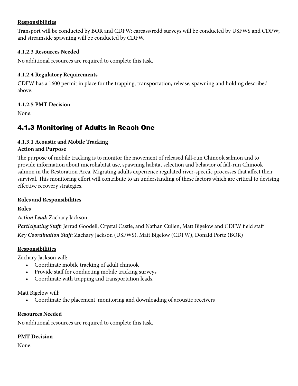#### <span id="page-15-0"></span>**Responsibilities**

Transport will be conducted by BOR and CDFW; carcass/redd surveys will be conducted by USFWS and CDFW; and streamside spawning will be conducted by CDFW.

#### **4.1.2.3 Resources Needed**

No additional resources are required to complete this task.

#### **4.1.2.4 Regulatory Requirements**

CDFW has a 1600 permit in place for the trapping, transportation, release, spawning and holding described above.

#### **4.1.2.5 PMT Decision**

None.

## 4.1.3 Monitoring of Adults in Reach One

#### **4.1.3.1 Acoustic and Mobile Tracking Action and Purpose**

The purpose of mobile tracking is to monitor the movement of released fall-run Chinook salmon and to provide information about microhabitat use, spawning habitat selection and behavior of fall-run Chinook salmon in the Restoration Area. Migrating adults experience regulated river-specific processes that affect their survival. This monitoring effort will contribute to an understanding of these factors which are critical to devising effective recovery strategies.

#### **Roles and Responsibilities**

#### **Roles**

*Action Lead:* Zachary Jackson

*Participating Staff:* Jerrad Goodell, Crystal Castle, and Nathan Cullen, Matt Bigelow and CDFW field staff *Key Coordination Staff:* Zachary Jackson (USFWS), Matt Bigelow (CDFW), Donald Portz (BOR)

#### **Responsibilities**

Zachary Jackson will:

- Coordinate mobile tracking of adult chinook
- Provide staff for conducting mobile tracking surveys
- Coordinate with trapping and transportation leads.

Matt Bigelow will:

• Coordinate the placement, monitoring and downloading of acoustic receivers

#### **Resources Needed**

No additional resources are required to complete this task.

#### **PMT Decision**

None.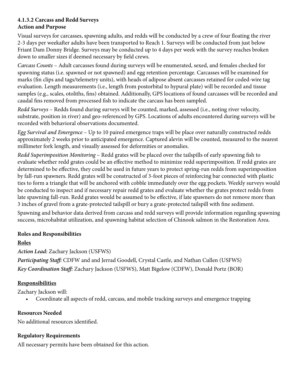#### **4.1.3.2 Carcass and Redd Surveys Action and Purpose**

Visual surveys for carcasses, spawning adults, and redds will be conducted by a crew of four floating the river 2-3 days per weekafter adults have been transported to Reach 1. Surveys will be conducted from just below Friant Dam Donny Bridge. Surveys may be conducted up to 4 days per week with the survey reaches broken down to smaller sizes if deemed necessary by field crews.

*Carcass Counts* – Adult carcasses found during surveys will be enumerated, sexed, and females checked for spawning status (i.e. spawned or not spawned) and egg retention percentage. Carcasses will be examined for marks (fin clips and tags/telemetry units), with heads of adipose absent carcasses retained for coded-wire tag evaluation. Length measurements (i.e., length from postorbital to hypural plate) will be recorded and tissue samples (e.g., scales, otoliths, fins) obtained. Additionally, GPS locations of found carcasses will be recorded and caudal fins removed from processed fish to indicate the carcass has been sampled.

*Redd Surveys* – Redds found during surveys will be counted, marked, assessed (i.e., noting river velocity, substrate, position in river) and geo-referenced by GPS. Locations of adults encountered during surveys will be recorded with behavioral observations documented.

*Egg Survival and Emergence* – Up to 10 paired emergence traps will be place over naturally constructed redds approximately 2 weeks prior to anticipated emergence. Captured alevin will be counted, measured to the nearest millimeter fork length, and visually assessed for deformities or anomalies.

*Redd Superimposition Monitoring* – Redd grates will be placed over the tailspills of early spawning fish to evaluate whether redd grates could be an effective method to minimize redd superimposition. If redd grates are determined to be effective, they could be used in future years to protect spring-run redds from superimposition by fall-run spawners. Redd grates will be constructed of 3-foot pieces of reinforcing bar connected with plastic ties to form a triangle that will be anchored with cobble immediately over the egg pockets. Weekly surveys would be conducted to inspect and if necessary repair redd grates and evaluate whether the grates protect redds from late spawning fall-run. Redd grates would be assumed to be effective, if late spawners do not remove more than 3 inches of gravel from a grate-protected tailspill or bury a grate-protected tailspill with fine sediment.

Spawning and behavior data derived from carcass and redd surveys will provide information regarding spawning success, microhabitat utilization, and spawning habitat selection of Chinook salmon in the Restoration Area.

#### **Roles and Responsibilities**

#### **Roles**

*Action Lead:* Zachary Jackson (USFWS)

*Participating Staff:* CDFW and and Jerrad Goodell, Crystal Castle, and Nathan Cullen (USFWS) *Key Coordination Staff:* Zachary Jackson (USFWS), Matt Bigelow (CDFW), Donald Portz (BOR)

#### **Responsibilities**

Zachary Jackson will:

• Coordinate all aspects of redd, carcass, and mobile tracking surveys and emergence trapping

#### **Resources Needed**

No additional resources identified.

#### **Regulatory Requirements**

All necessary permits have been obtained for this action.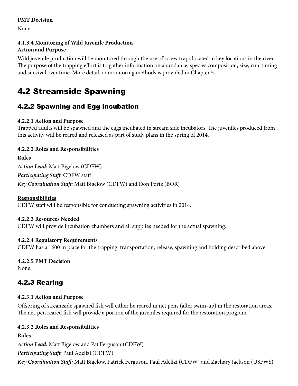#### <span id="page-17-0"></span>**PMT Decision**

None.

#### **4.1.3.4 Monitoring of Wild Juvenile Production Action and Purpose**

Wild juvenile production will be monitored through the use of screw traps located in key locations in the river. The purpose of the trapping effort is to gather information on abundance, species composition, size, run-timing and survival over time. More detail on monitoring methods is provided in Chapter 5.

## 4.2 Streamside Spawning

## 4.2.2 Spawning and Egg incubation

#### **4.2.2.1 Action and Purpose**

Trapped adults will be spawned and the eggs incubated in stream side incubators. The juveniles produced from this activity will be reared and released as part of study plans in the spring of 2014.

#### **4.2.2.2 Roles and Responsibilities**

**Roles**  *Action Lead:* Matt Bigelow (CDFW) *Participating Staff:* CDFW staff *Key Coordination Staff:* Matt Bigelow (CDFW) and Don Portz (BOR)

#### **Responsibilities**

CDFW staff will be responsible for conducting spawning activities in 2014.

#### **4.2.2.3 Resources Needed**

CDFW will provide incubation chambers and all supplies needed for the actual spawning.

#### **4.2.2.4 Regulatory Requirements**

CDFW has a 1600 in place for the trapping, transportation, release, spawning and holding described above.

## **4.2.2.5 PMT Decision**

None.

## 4.2.3 Rearing

#### **4.2.3.1 Action and Purpose**

Offspring of streamside spawned fish will either be reared in net pens (after swim-up) in the restoration areas. The net-pen reared fish will provide a portion of the juveniles required for the restoration program.

#### **4.2.3.2 Roles and Responsibilities**

#### **Roles**

*Action Lead:* Matt Bigelow and Pat Ferguson (CDFW) *Participating Staff:* Paul Adelizi (CDFW) *Key Coordination Staff:* Matt Bigelow, Patrick Ferguson, Paul Adelizi (CDFW) and Zachary Jackson (USFWS)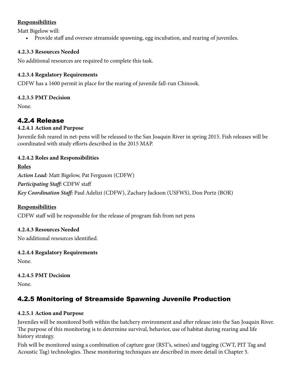#### <span id="page-18-0"></span>**Responsibilities**

Matt Bigelow will:

• Provide staff and oversee streamside spawning, egg incubation, and rearing of juveniles.

#### **4.2.3.3 Resources Needed**

No additional resources are required to complete this task.

#### **4.2.3.4 Regulatory Requirements**

CDFW has a 1600 permit in place for the rearing of juvenile fall-run Chinook.

#### **4.2.3.5 PMT Decision**

None.

### 4.2.4 Release

#### **4.2.4.1 Action and Purpose**

Juvenile fish reared in net-pens will be released to the San Joaquin River in spring 2015. Fish releases will be coordinated with study efforts described in the 2015 MAP.

#### **4.2.4.2 Roles and Responsibilities**

#### **Roles**

*Action Lead:* Matt Bigelow, Pat Ferguson (CDFW) *Participating Staff:* CDFW staff *Key Coordination Staff:* Paul Adelizi (CDFW), Zachary Jackson (USFWS), Don Portz (BOR)

#### **Responsibilities**

CDFW staff will be responsible for the release of program fish from net pens

#### **4.2.4.3 Resources Needed**

No additional resources identified.

#### **4.2.4.4 Regulatory Requirements**

None.

#### **4.2.4.5 PMT Decision**

None.

## 4.2.5 Monitoring of Streamside Spawning Juvenile Production

#### **4.2.5.1 Action and Purpose**

Juveniles will be monitored both within the hatchery environment and after release into the San Joaquin River. The purpose of this monitoring is to determine survival, behavior, use of habitat during rearing and life history strategy.

Fish will be monitored using a combination of capture gear (RST's, seines) and tagging (CWT, PIT Tag and Acoustic Tag) technologies. These monitoring techniques are described in more detail in Chapter 5.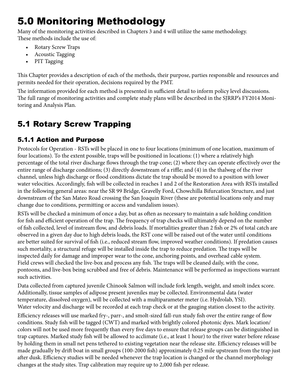## <span id="page-19-0"></span>5.0 Monitoring Methodology

Many of the monitoring activities described in Chapters 3 and 4 will utilize the same methodology. These methods include the use of:

- Rotary Screw Traps
- Acoustic Tagging
- PIT Tagging

This Chapter provides a description of each of the methods, their purpose, parties responsible and resources and permits needed for their operation, decisions required by the PMT.

The information provided for each method is presented in sufficient detail to inform policy level discussions. The full range of monitoring activities and complete study plans will be described in the SJRRP's FY2014 Monitoring and Analysis Plan.

## 5.1 Rotary Screw Trapping

## 5.1.1 Action and Purpose

Protocols for Operation - RSTs will be placed in one to four locations (minimum of one location, maximum of four locations). To the extent possible, traps will be positioned in locations: (1) where a relatively high percentage of the total river discharge flows through the trap cone; (2) where they can operate effectively over the entire range of discharge conditions; (3) directly downstream of a riffle; and (4) in the thalweg of the river channel, unless high discharge or flood conditions dictate the trap should be moved to a position with lower water velocities. Accordingly, fish will be collected in reaches 1 and 2 of the Restoration Area with RSTs installed in the following general areas: near the SR 99 Bridge, Gravelly Ford, Chowchilla Bifurcation Structure, and just downstream of the San Mateo Road crossing the San Joaquin River (these are potential locations only and may change due to conditions, permitting or access and vandalism issues).

RSTs will be checked a minimum of once a day, but as often as necessary to maintain a safe holding condition for fish and efficient operation of the trap. The frequency of trap checks will ultimately depend on the number of fish collected, level of instream flow, and debris loads. If mortalities greater than 2 fish or 2% of total catch are observed in a given day due to high debris loads, the RST cone will be raised out of the water until conditions are better suited for survival of fish (i.e., reduced stream flow, improved weather conditions). If predation causes such mortality, a structural refuge will be installed inside the trap to reduce predation. The traps will be inspected daily for damage and improper wear to the cone, anchoring points, and overhead cable system. Field crews will checked the live-box and process any fish. The traps will be cleaned daily, with the cone, pontoons, and live-box being scrubbed and free of debris. Maintenance will be performed as inspections warrant such activities.

Data collected from captured juvenile Chinook Salmon will include fork length, weight, and smolt index score. Additionally, tissue samples of adipose present juveniles may be collected. Environmental data (water temperature, dissolved oxygen), will be collected with a multiparameter meter (i.e. Hydrolab, YSI). Water velocity and discharge will be recorded at each trap check or at the gauging station closest to the activity.

Efficiency releases will use marked fry-, parr-, and smolt-sized fall-run study fish over the entire range of flow conditions. Study fish will be tagged (CWT) and marked with brightly colored photonic dyes. Mark location/ colors will not be used more frequently than every five days to ensure that release groups can be distinguished in trap captures. Marked study fish will be allowed to acclimate (i.e., at least 1 hour) to the river water before release by holding them in small net pens tethered to existing vegetation near the release site. Efficiency releases will be made gradually by drift boat in small groups (100-2000 fish) approximately 0.25 mile upstream from the trap just after dusk. Efficiency studies will be needed whenever the trap location is changed or the channel morphology changes at the study sites. Trap calibration may require up to 2,000 fish per release.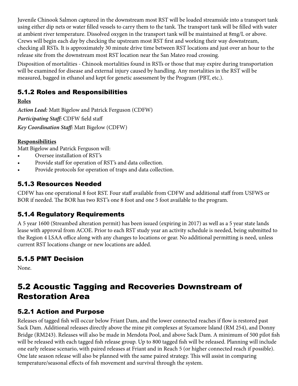<span id="page-20-0"></span>Juvenile Chinook Salmon captured in the downstream most RST will be loaded streamside into a transport tank using either dip nets or water filled vessels to carry them to the tank. The transport tank will be filled with water at ambient river temperature. Dissolved oxygen in the transport tank will be maintained at 8mg/L or above. Crews will begin each day by checking the upstream most RST first and working their way downstream, checking all RSTs. It is approximately 30 minute drive time between RST locations and just over an hour to the release site from the downstream most RST location near the San Mateo road crossing.

Disposition of mortalities - Chinook mortalities found in RSTs or those that may expire during transportation will be examined for disease and external injury caused by handling. Any mortalities in the RST will be measured, bagged in ethanol and kept for genetic assessment by the Program (PBT, etc.).

## 5.1.2 Roles and Responsibilities

#### **Roles**

*Action Lead:* Matt Bigelow and Patrick Ferguson (CDFW) *Participating Staff:* CDFW field staff *Key Coordination Staff:* Matt Bigelow (CDFW)

#### **Responsibilities**

Matt Bigelow and Patrick Ferguson will:

- Oversee installation of RST's
- Provide staff for operation of RST's and data collection.
- Provide protocols for operation of traps and data collection.

## 5.1.3 Resources Needed

CDFW has one operational 8 foot RST. Four staff available from CDFW and additional staff from USFWS or BOR if needed. The BOR has two RST's one 8 foot and one 5 foot available to the program.

## 5.1.4 Regulatory Requirements

A 5 year 1600 (Streambed alteration permit) has been issued (expiring in 2017) as well as a 5 year state lands lease with approval from ACOE. Prior to each RST study year an activity schedule is needed, being submitted to the Region 4 LSAA office along with any changes to locations or gear. No additional permitting is need, unless current RST locations change or new locations are added.

## 5.1.5 PMT Decision

None.

## 5.2 Acoustic Tagging and Recoveries Downstream of Restoration Area

## 5.2.1 Action and Purpose

Releases of tagged fish will occur below Friant Dam, and the lower connected reaches if flow is restored past Sack Dam. Additional releases directly above the mine pit complexes at Sycamore Island (RM 254), and Donny Bridge (RM243). Releases will also be made in Mendota Pool, and above Sack Dam. A minimum of 500 pilot fish will be released with each tagged fish release group. Up to 800 tagged fish will be released. Planning will include one early release scenario, with paired releases at Friant and in Reach 5 (or higher connected reach if possible). One late season release will also be planned with the same paired strategy. This will assist in comparing temperature/seasonal effects of fish movement and survival through the system.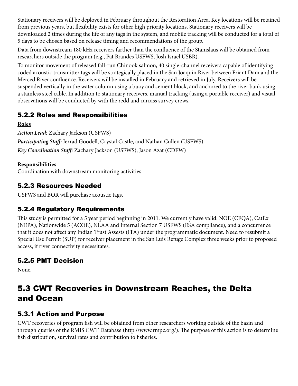<span id="page-21-0"></span>Stationary receivers will be deployed in February throughout the Restoration Area. Key locations will be retained from previous years, but flexibility exists for other high priority locations. Stationary receivers will be downloaded 2 times during the life of any tags in the system, and mobile tracking will be conducted for a total of 5 days to be chosen based on release timing and recommendations of the group.

Data from downstream 180 kHz receivers farther than the confluence of the Stanislaus will be obtained from researchers outside the program (e.g., Pat Brandes USFWS, Josh Israel USBR).

To monitor movement of released fall-run Chinook salmon, 40 single-channel receivers capable of identifying coded acoustic transmitter tags will be strategically placed in the San Joaquin River between Friant Dam and the Merced River confluence. Receivers will be installed in February and retrieved in July. Receivers will be suspended vertically in the water column using a buoy and cement block, and anchored to the river bank using a stainless steel cable. In addition to stationary receivers, manual tracking (using a portable receiver) and visual observations will be conducted by with the redd and carcass survey crews.

## 5.2.2 Roles and Responsibilities

**Roles** 

*Action Lead:* Zachary Jackson (USFWS) *Participating Staff:* Jerrad Goodell, Crystal Castle, and Nathan Cullen (USFWS) *Key Coordination Staff:* Zachary Jackson (USFWS), Jason Azat (CDFW)

**Responsibilities** 

Coordination with downstream monitoring activities

## 5.2.3 Resources Needed

USFWS and BOR will purchase acoustic tags.

## 5.2.4 Regulatory Requirements

This study is permitted for a 5 year period beginning in 2011. We currently have valid: NOE (CEQA), CatEx (NEPA), Nationwide 5 (ACOE), NLAA and Internal Section 7 USFWS (ESA compliance), and a concurrence that it does not affect any Indian Trust Assests (ITA) under the programmatic document. Need to resubmit a Special Use Permit (SUP) for receiver placement in the San Luis Refuge Complex three weeks prior to proposed access, if river connectivity necessitates.

## 5.2.5 PMT Decision

None.

## 5.3 CWT Recoveries in Downstream Reaches, the Delta and Ocean

## 5.3.1 Action and Purpose

CWT recoveries of program fish will be obtained from other researchers working outside of the basin and through queries of the RMIS CWT Database (http://www.rmpc.org/). The purpose of this action is to determine fish distribution, survival rates and contribution to fisheries.